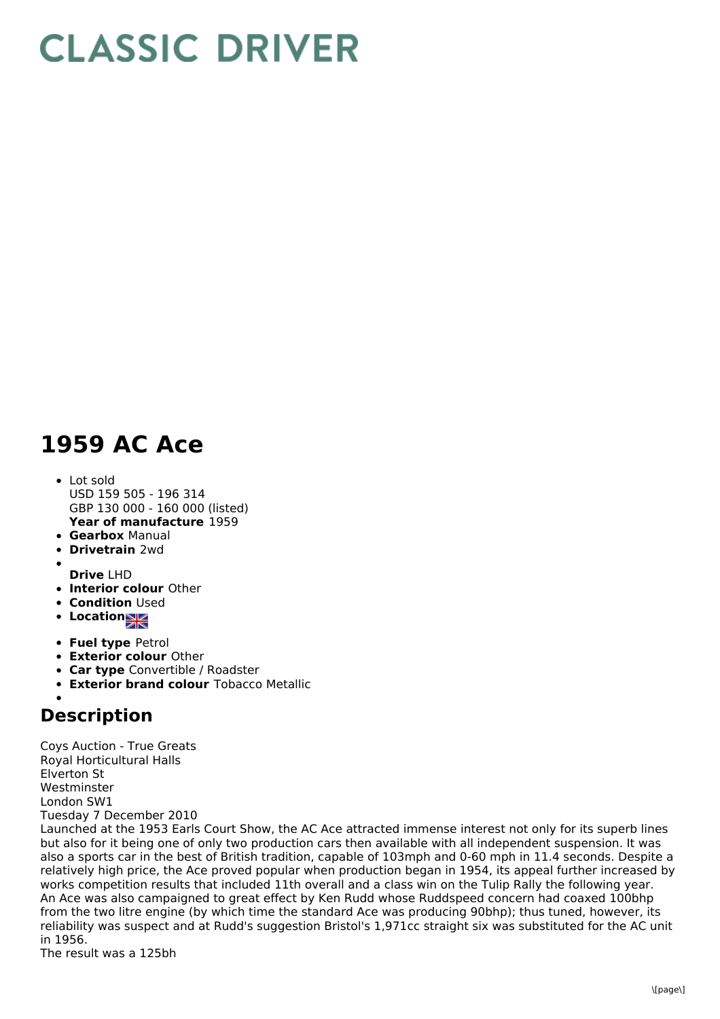## **CLASSIC DRIVER**

## **1959 AC Ace**

- **Year of manufacture** 1959 • Lot sold USD 159 505 - 196 314 GBP 130 000 - 160 000 (listed)
- **Gearbox** Manual
- **Drivetrain** 2wd
- 
- **Drive** LHD
- **Interior colour** Other
- **Condition Used**
- **Location**
- **Fuel type** Petrol
- **Exterior colour** Other
- **Car type** Convertible / Roadster
- **Exterior brand colour** Tobacco Metallic

## **Description**

Coys Auction - True Greats Royal Horticultural Halls Elverton St Westminster London SW1 Tuesday 7 December 2010

Launched at the 1953 Earls Court Show, the AC Ace attracted immense interest not only for its superb lines but also for it being one of only two production cars then available with all independent suspension. It was also a sports car in the best of British tradition, capable of 103mph and 0-60 mph in 11.4 seconds. Despite a relatively high price, the Ace proved popular when production began in 1954, its appeal further increased by works competition results that included 11th overall and a class win on the Tulip Rally the following year. An Ace was also campaigned to great effect by Ken Rudd whose Ruddspeed concern had coaxed 100bhp from the two litre engine (by which time the standard Ace was producing 90bhp); thus tuned, however, its reliability was suspect and at Rudd's suggestion Bristol's 1,971cc straight six was substituted for the AC unit in 1956.

The result was a 125bh